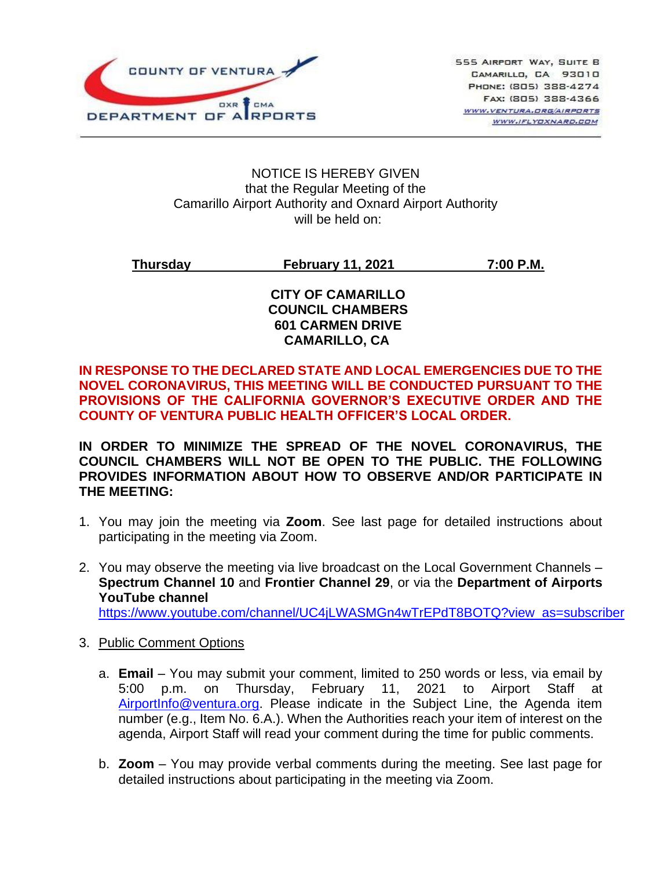

#### NOTICE IS HEREBY GIVEN that the Regular Meeting of the Camarillo Airport Authority and Oxnard Airport Authority will be held on:

## **Thursday February 11, 2021 7:00 P.M.**

#### **CITY OF CAMARILLO COUNCIL CHAMBERS 601 CARMEN DRIVE CAMARILLO, CA**

#### **IN RESPONSE TO THE DECLARED STATE AND LOCAL EMERGENCIES DUE TO THE NOVEL CORONAVIRUS, THIS MEETING WILL BE CONDUCTED PURSUANT TO THE PROVISIONS OF THE CALIFORNIA GOVERNOR'S EXECUTIVE ORDER AND THE COUNTY OF VENTURA PUBLIC HEALTH OFFICER'S LOCAL ORDER.**

**IN ORDER TO MINIMIZE THE SPREAD OF THE NOVEL CORONAVIRUS, THE COUNCIL CHAMBERS WILL NOT BE OPEN TO THE PUBLIC. THE FOLLOWING PROVIDES INFORMATION ABOUT HOW TO OBSERVE AND/OR PARTICIPATE IN THE MEETING:**

- 1. You may join the meeting via **Zoom**. See last page for detailed instructions about participating in the meeting via Zoom.
- 2. You may observe the meeting via live broadcast on the Local Government Channels **Spectrum Channel 10** and **Frontier Channel 29**, or via the **Department of Airports YouTube channel**

[https://www.youtube.com/channel/UC4jLWASMGn4wTrEPdT8BOTQ?view\\_as=subscriber](https://www.youtube.com/channel/UC4jLWASMGn4wTrEPdT8BOTQ?view_as=subscriber)

- 3. Public Comment Options
	- a. **Email**  You may submit your comment, limited to 250 words or less, via email by 5:00 p.m. on Thursday, February 11, 2021 to Airport Staff at [AirportInfo@ventura.org.](mailto:AirportInfo@ventura.org) Please indicate in the Subject Line, the Agenda item number (e.g., Item No. 6.A.). When the Authorities reach your item of interest on the agenda, Airport Staff will read your comment during the time for public comments.
	- b. **Zoom** You may provide verbal comments during the meeting. See last page for detailed instructions about participating in the meeting via Zoom.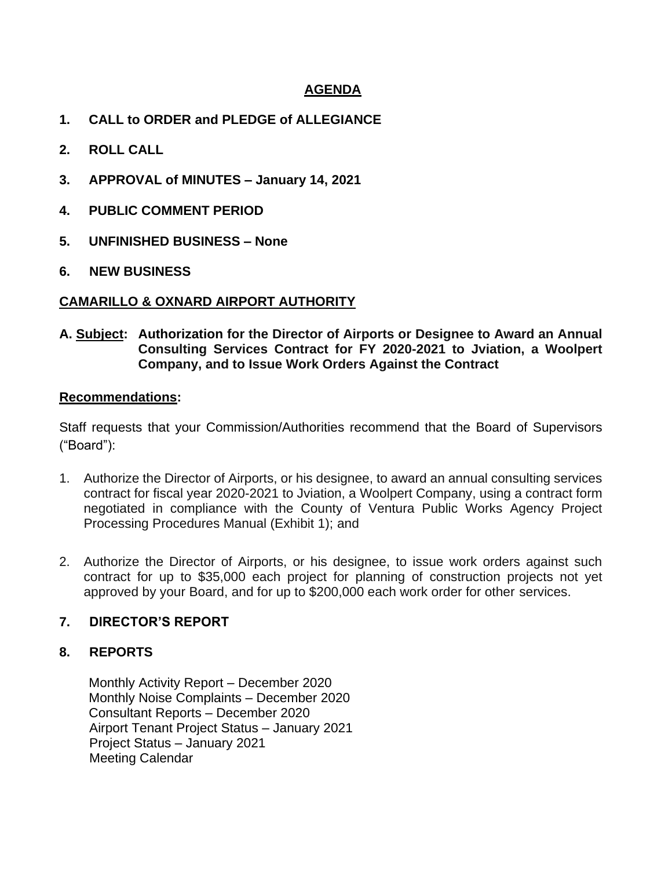#### **AGENDA**

- **1. CALL to ORDER and PLEDGE of ALLEGIANCE**
- **2. ROLL CALL**
- **3. APPROVAL of MINUTES – January 14, 2021**
- **4. PUBLIC COMMENT PERIOD**
- **5. UNFINISHED BUSINESS – None**
- **6. NEW BUSINESS**

#### **CAMARILLO & OXNARD AIRPORT AUTHORITY**

**A. Subject: Authorization for the Director of Airports or Designee to Award an Annual Consulting Services Contract for FY 2020-2021 to Jviation, a Woolpert Company, and to Issue Work Orders Against the Contract**

#### **Recommendations:**

Staff requests that your Commission/Authorities recommend that the Board of Supervisors ("Board"):

- 1. Authorize the Director of Airports, or his designee, to award an annual consulting services contract for fiscal year 2020-2021 to Jviation, a Woolpert Company, using a contract form negotiated in compliance with the County of Ventura Public Works Agency Project Processing Procedures Manual (Exhibit 1); and
- 2. Authorize the Director of Airports, or his designee, to issue work orders against such contract for up to \$35,000 each project for planning of construction projects not yet approved by your Board, and for up to \$200,000 each work order for other services.

#### **7. DIRECTOR'S REPORT**

#### **8. REPORTS**

Monthly Activity Report – December 2020 Monthly Noise Complaints – December 2020 Consultant Reports – December 2020 Airport Tenant Project Status – January 2021 Project Status – January 2021 Meeting Calendar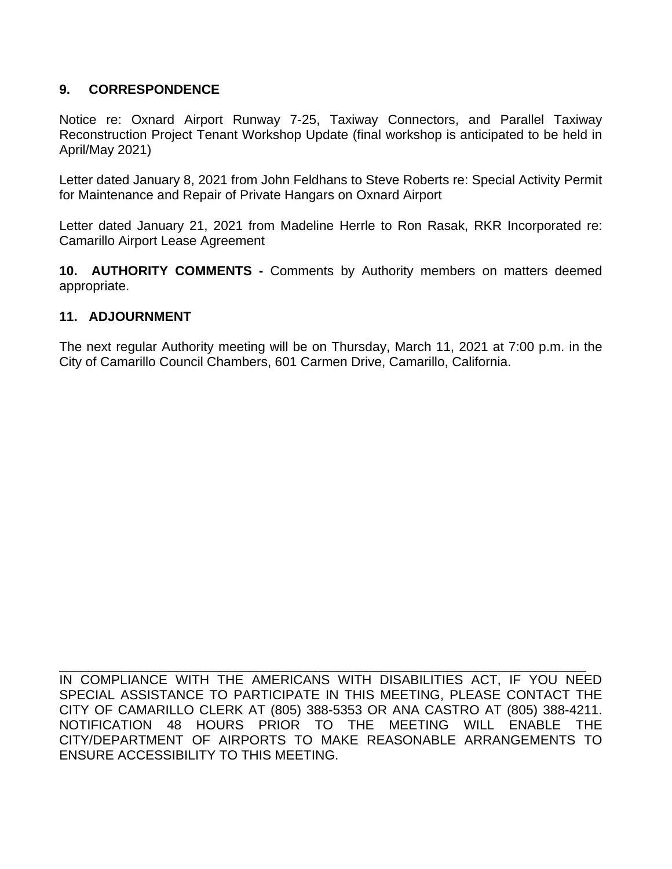### **9. CORRESPONDENCE**

Notice re: Oxnard Airport Runway 7-25, Taxiway Connectors, and Parallel Taxiway Reconstruction Project Tenant Workshop Update (final workshop is anticipated to be held in April/May 2021)

Letter dated January 8, 2021 from John Feldhans to Steve Roberts re: Special Activity Permit for Maintenance and Repair of Private Hangars on Oxnard Airport

Letter dated January 21, 2021 from Madeline Herrle to Ron Rasak, RKR Incorporated re: Camarillo Airport Lease Agreement

**10. AUTHORITY COMMENTS -** Comments by Authority members on matters deemed appropriate.

#### **11. ADJOURNMENT**

The next regular Authority meeting will be on Thursday, March 11, 2021 at 7:00 p.m. in the City of Camarillo Council Chambers, 601 Carmen Drive, Camarillo, California.

IN COMPLIANCE WITH THE AMERICANS WITH DISABILITIES ACT, IF YOU NEED SPECIAL ASSISTANCE TO PARTICIPATE IN THIS MEETING, PLEASE CONTACT THE CITY OF CAMARILLO CLERK AT (805) 388-5353 OR ANA CASTRO AT (805) 388-4211. NOTIFICATION 48 HOURS PRIOR TO THE MEETING WILL ENABLE THE CITY/DEPARTMENT OF AIRPORTS TO MAKE REASONABLE ARRANGEMENTS TO ENSURE ACCESSIBILITY TO THIS MEETING.

\_\_\_\_\_\_\_\_\_\_\_\_\_\_\_\_\_\_\_\_\_\_\_\_\_\_\_\_\_\_\_\_\_\_\_\_\_\_\_\_\_\_\_\_\_\_\_\_\_\_\_\_\_\_\_\_\_\_\_\_\_\_\_\_\_\_\_\_\_\_\_\_